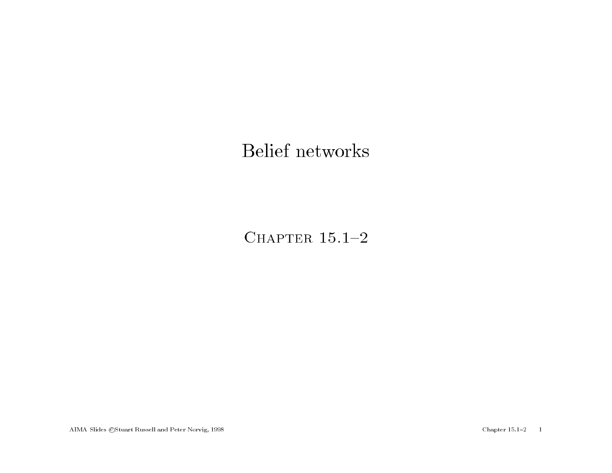#### Belief networks

CHAPTER  $15.1-2$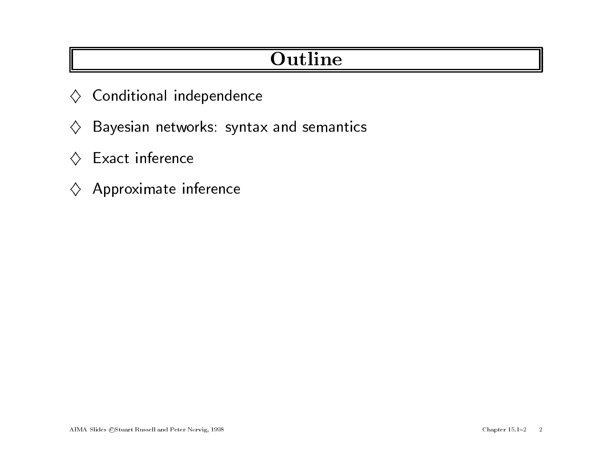# **Outline**

- $\diamondsuit$  Conditional independence
- $\Leftrightarrow$  Conditional independence<br> $\Leftrightarrow$  Bayesian networks: syntax and semantics  $\diamondsuit$  Bayesian netwo<br> $\diamondsuit$  Exact inference
- 
- $\diamondsuit$  Exact inference<br> $\diamondsuit$  Approximate inference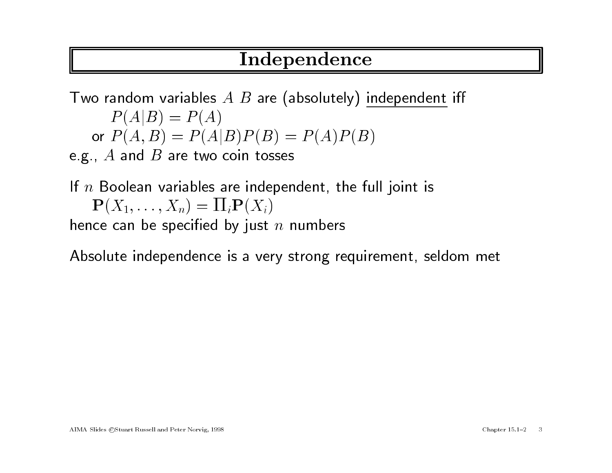## Independence

 $\begin{array}{c} \textbf{Independence} \ \end{array}$ Two random variables  $A$   $B$  are (absolutely) independent iff andom variables<br> $P(A|B) = P(A)$  $P(A|B) = P(A)$ <br>or  $P(A, B) = P(A|B)P(B) = P(A)P(B)$ e.g.,  $A$  and  $B$  are two coin tosses

e.g.,  $A$  and  $B$  are two coin tosses<br>If  $n$  Boolean variables are independent, the full joint is , in and  $E$  are two complex<br>Boolean variables are inde $\mathbf{P}(X_1,\ldots,X_n)=\Pi_i\mathbf{P}(X_i)$  $\mathbf{P}(X_1,\ldots,X_n)=\prod_i \mathbf{P}(X_i)$ <br>hence can be specified by just n numbers

Absolute independence is <sup>a</sup> very strong requirement, seldom met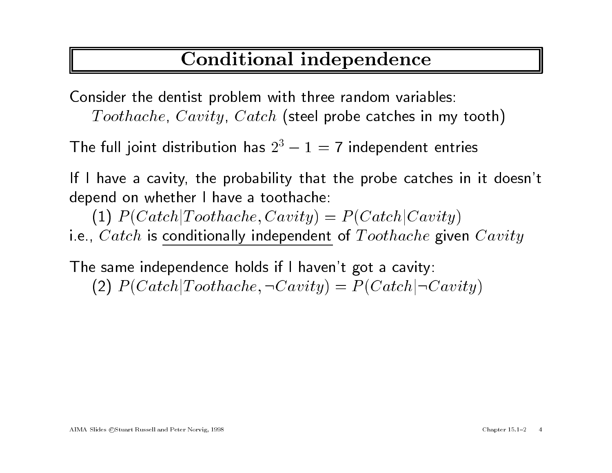## Conditional independence

Consider the dentist problem with three random variables: Toothache, Cavity, Catch (steel probe catches in my tooth)

The full joint distribution has  $2^3 - 1 = 7$  independent entries

If <sup>I</sup> have a cavity, the probability that the probe catches in it doesn't depend on whether <sup>I</sup> have <sup>a</sup> toothache:

(1)  $P(Catch|Toothache, Cavity) = P(Catch|Cavity)$ i.e.,  $\textit{Catch}$  is conditionally independent of  $\textit{Toothache}$  given  $\textit{Cavity}$ 

The same independence holds if <sup>I</sup> haven't go<sup>t</sup> <sup>a</sup> cavity: (2)  $P(Catch | Toothache, \neg Cavity) = P(Catch | \neg Cavity)$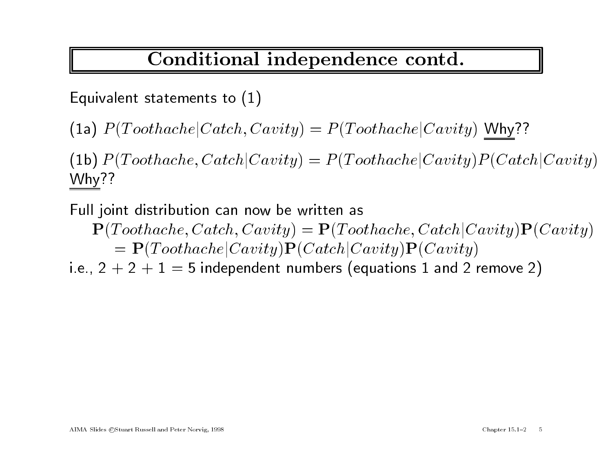#### Conditional independence contd.

Equivalent statements to (1)

(1a)  $P(Toothache| Catch, Cavity) = P(Toothache|Cavity)$  Why??

(1a)  $P(Toothache|Catch, Cavity) = P(Toothache|Cavity)$  Why??<br>(1b)  $P(Toothache, Catch|Cavity) = P(Toothache|Cavity)P(Catch|Cavity)$  $\left( 1\text{b}\right)$   $P$ <br>Why??

Why??<br>Full joint distribution can now be written as joint distribution can now be written as<br> $\mathbf{P}(Toothache, Catch, Cavity) = \mathbf{P}(Toothache, Catch|Cavity)\mathbf{P}(Cavity)$ 

nt distribution can now be written as<br>  $Toothache, Catch, Cavity) = P(Toothache, Catch|C = P(Toothache|Cavity)P(Cavity)P(Cavity)$  $= \mathbf{P}(Toothache|Cavity)\mathbf{P}(Catch|Cavity)\mathbf{P}(Cavity)$ <br>i.e., 2 + 2 + 1 = 5 independent numbers (equations 1 and 2 remove 2)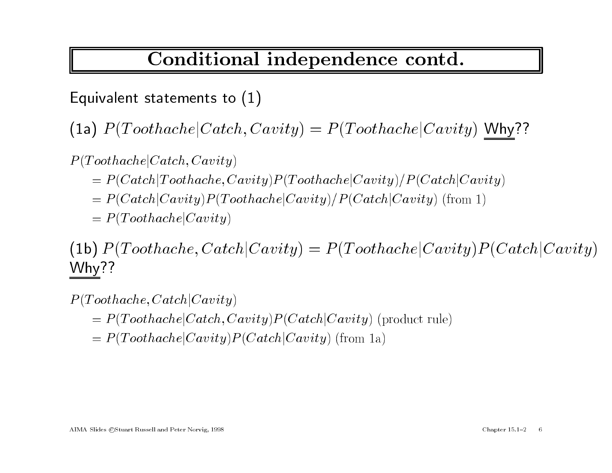#### Conditional independence contd.

Equivalent statements to (1)

(1a)  $P(Toothache| Catch, Cavity) = P(Toothache|Cavity)$  Why??

 $P(Toothache|Catch, Cavity)$ 

- $= P(Catch|Toothache, Cavity) P(Toothache|Cavity) P(Catch|Cavity)$  $= P (Catch | Toothache, Cavity) P (Toothache | Cavity) / P (Catch | Cavity) \ = P (Catch | Cavity) P (Toothache | Cavity) / P (Catch | Cavity)$  (from 1)
- $= P (Catch|Cavity) P(T) \ = P (Toothache|Cavity)$
- 

 $P(Toothache|Cavity) = P(Toothache, Catch|Cavity) = P(Toothache|Cavity)P(Catch|Cavity)$  $\left( 1\text{b}\right)$   $P$ <br>Why??  $W$ hy??<br>P(Toothache, Catch|Cavity)

- $= P(Toothache | Catch, Cavity) P (Catch | Cavity)$  (product rule)
- $= P(Toothache | Cavity) P (Catch | Cavity)$  (from 1a)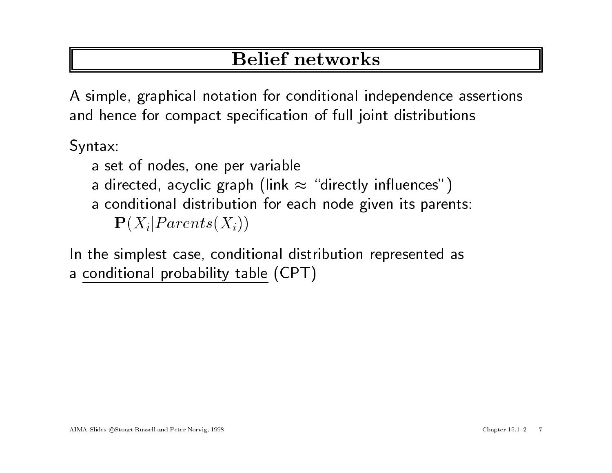# Belief networks

<sup>A</sup> simple, graphical notation for conditional independence assertions and hence for compact specication of full joint distributions

Syntax:

- <sup>a</sup> set of nodes, one per variable
- a directed, acyclic graph (link  $\approx$  "directly influences")
- <sup>a</sup> conditional distribution for each node <sup>g</sup>iven its parents:  ${\bf P}(X_i| Parents(X_i))$

In the simplest case, conditional distribution represented as <sup>a</sup> conditional probability table (CPT)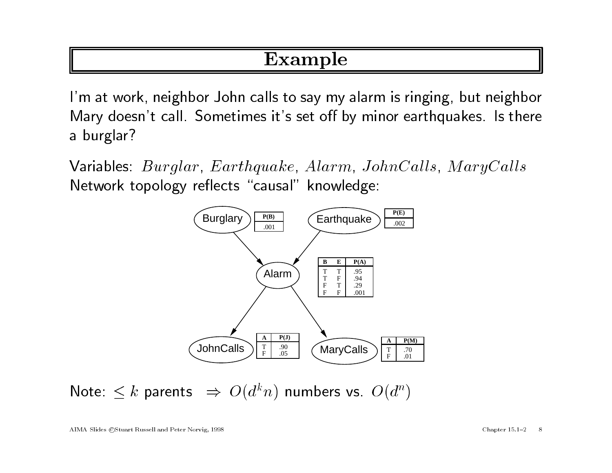### Example

I'm at work, neighbor John calls to say my alarm is ringing, but neighbor I'm at work, neighbor John calls to say my alarm is ringing, but neighbor<br>Mary doesn't call. Sometimes it's set off by minor earthquakes. Is there Mary does<br>a burglar?

a burglar?<br>Variables: Burglar, Earthquake, Alarm, JohnCalls, MaryCalls Network topology reflects "causal" knowledge:



Note:  $\leq k$  parents  $\Rightarrow O(d^k n)$  numbers vs.  $O(d^n)$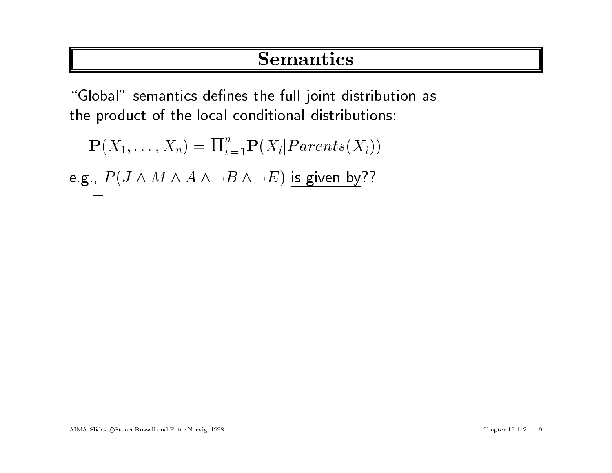#### Semantics

"Global" semantics defines the full joint distribution as the product of the local conditional distributions:<br>  $\mathbf{P}(X_1,\ldots,X_n) = \prod_{i=1}^n \mathbf{P}(X_i | Parents(X_i))$ 

$$
\mathbf{P}(X_1, \dots, X_n) = \Pi_{i=1}^n \mathbf{P}(X_i | Parents(X_i))
$$
  
e.g.,  $P(J \wedge M \wedge A \wedge \neg B \wedge \neg E)$  is given by??
$$
=
$$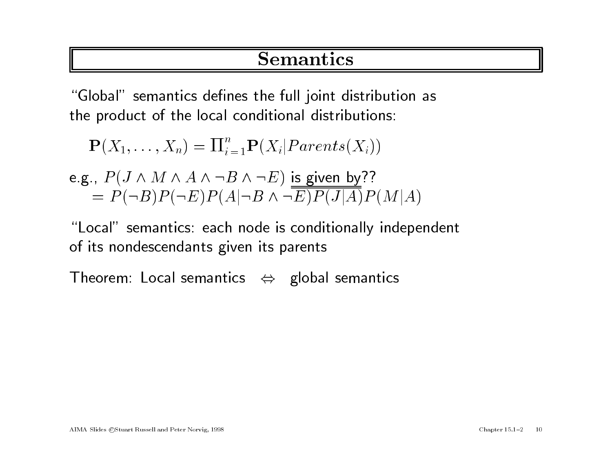#### Semantics

"Global" semantics defines the full joint distribution as the product of the local conditional distributions:<br>  $\mathbf{P}(X_1,\ldots,X_n) = \prod_{i=1}^n \mathbf{P}(X_i | Parents(X_i))$ 

$$
\mathbf{P}(X_1, \dots, X_n) = \Pi_{i=1}^n \mathbf{P}(X_i | Parents(X_i))
$$
  
e.g.,  $P(J \wedge M \wedge A \wedge \neg B \wedge \neg E)$  is given by??

e.g., 
$$
P(J \wedge M \wedge A \wedge \neg B \wedge \neg E)
$$
 is given by??  
=  $P(\neg B)P(\neg E)P(A|\neg B \wedge \neg E)P(J|A)P(M|A)$ 

"Local" semantics: each node is conditionally independent of its nondescendants <sup>g</sup>iven its parents "Local" semantics: each node is conditionally ind<br>of its nondescendants given its parents<br>Theorem: Local semantics  $\Leftrightarrow$  global semantics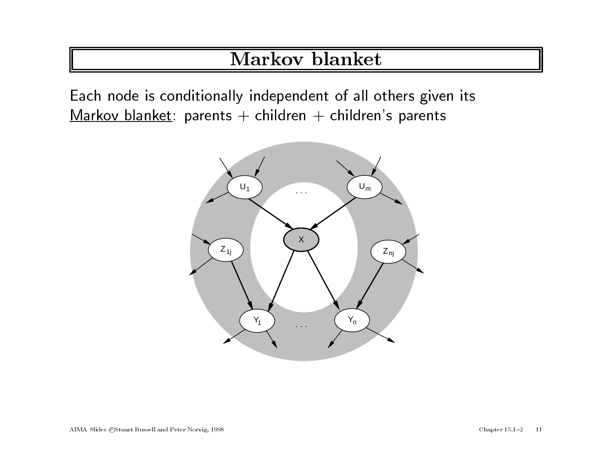## Markov blanket

Each node is conditionally independent of all others <sup>g</sup>iven its Markov blanket: parents + children + children's parents

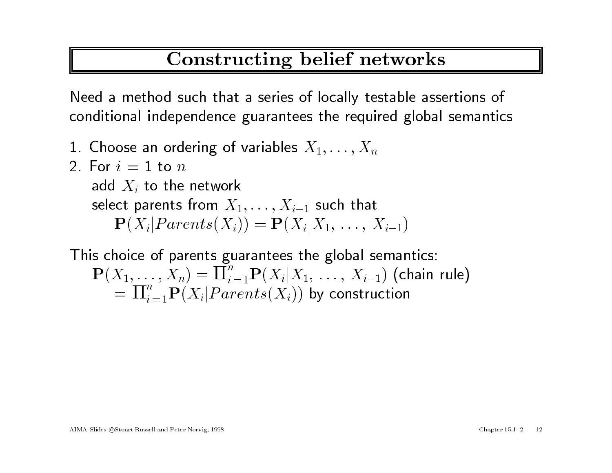## Constructing belief networks

Need <sup>a</sup> method such that <sup>a</sup> series of locally testable assertions of conditional independence guarantees the required <sup>g</sup>lobal semantics

- 1. Choose an ordering of variables  $X_1, \ldots, X_n$ <br>2. For  $i = 1$  to  $n$
- 2. For  $i = 1$  to  $n$ <br>add  $X_i$  to the network select parents from  $X_1,\ldots,X_{i-1}$  such that  $\mathbf{P}(X_i | Parents(X_i)) = \mathbf{P}(X_i | X_1, \ldots, X_{i-1})$

This choice of parents guarantees the <sup>g</sup>lobal semantics:  ${\bf P}(X_1,\ldots,X_n) = \prod_{i=1}^n {\bf P}(X_i|X_1,\ldots,X_{i-1})$  (chain rule)  $=\prod_{i=1}^n P(X_i | Parents(X_i))$  by construction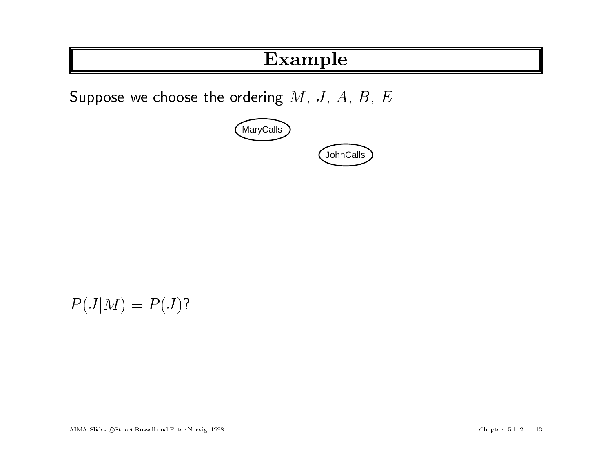## Example

Suppose we choose the ordering  $M$ ,  $J$ ,  $A$ ,  $B$ ,  $E$ 



$$
P(J|M) = P(J)?
$$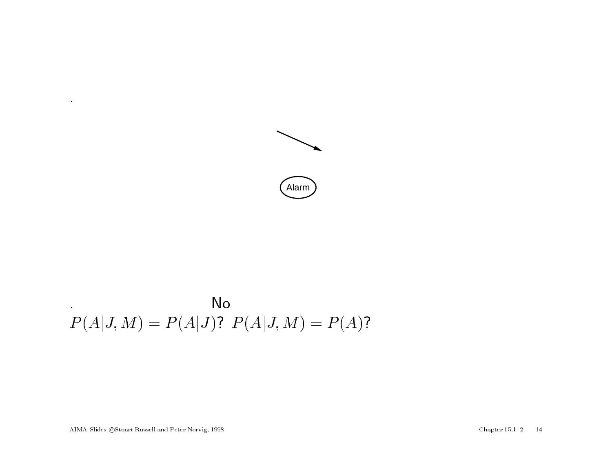

No  
\n
$$
P(A|J, M) = P(A|J)
$$
?  $P(A|J, M) = P(A)$ ?

AIMA Slides ©Stuart Russell and Peter Norvig, 1998 Chapter 15.1-2 14

.

 $\mathbf{u}$  .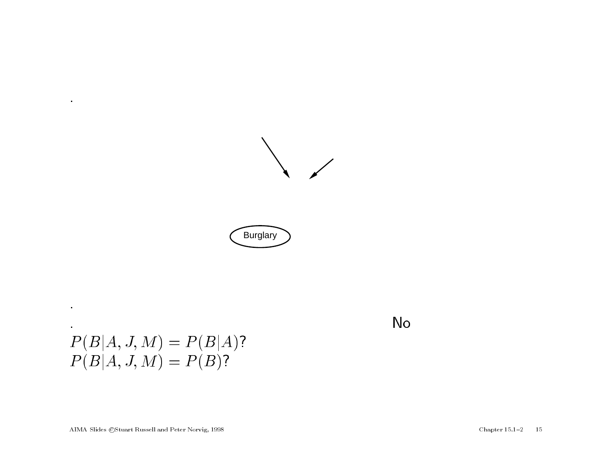





# .<br> $P(B|A, J, M) = P(B|A)$ ?  $P(B|A, J, M) = P(B|A, P(B|A, J, M)) = P(B)$

.

 $\bullet$ 

.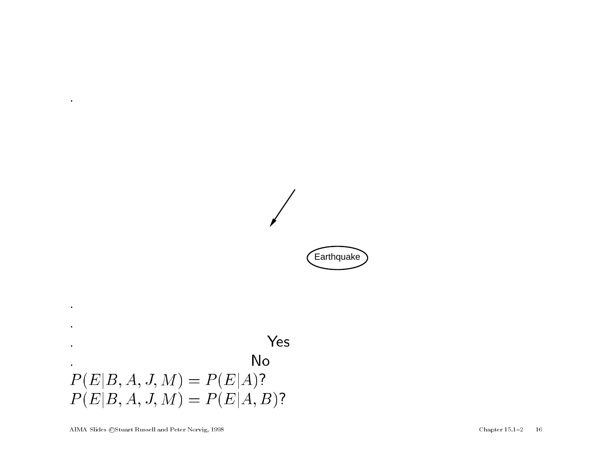**Earthquake** 



.

 $\bullet$ 

.

.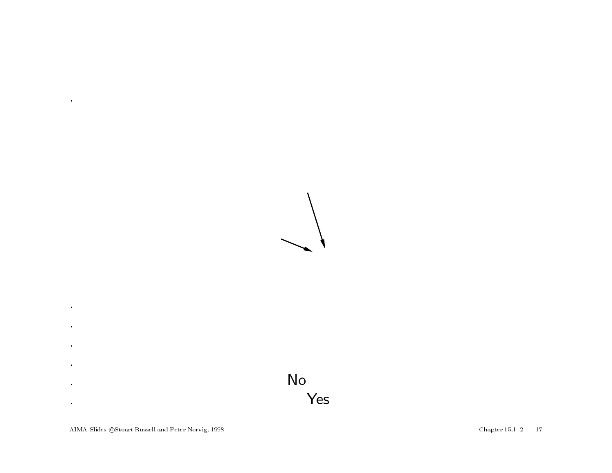



.

 $\mathbf{u}$  .

.

 $\bullet$ 

.

 $\mathbf{r}$ 

.

 $\bullet$ 

.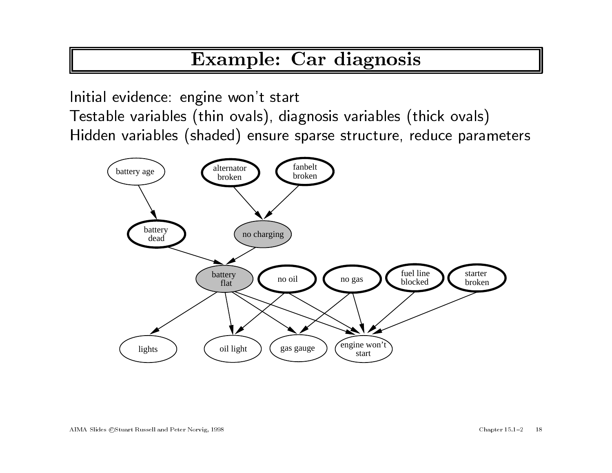## Example: Car diagnosis

Initial evidence: engine won't start Testable variables (thin ovals), diagnosis variables (thick ovals) Hidden variables (shaded) ensure sparse structure, reduce parameters

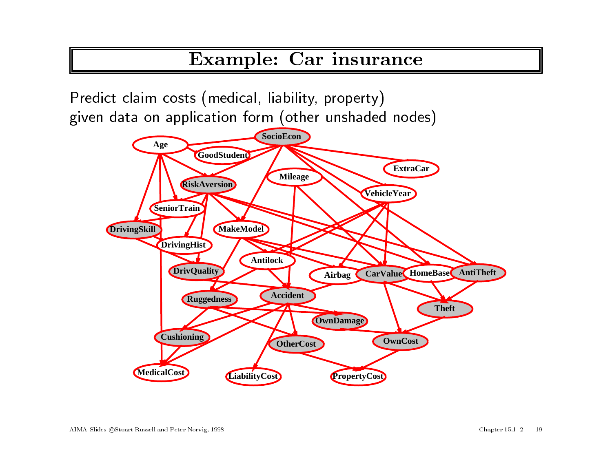#### Example: Car insurance

Predict claim costs (medical, liability, property) <sup>g</sup>iven data on application form (other unshaded nodes)

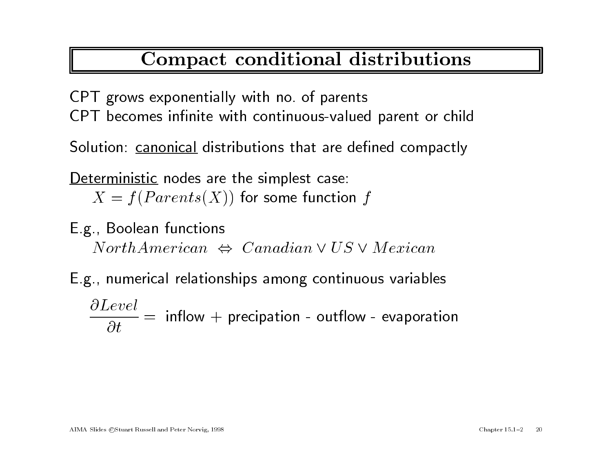## Compact conditional distributions

CPT grows exponentially with no. of parents CPT becomes infinite with continuous-valued parent or child

Solution: canonical distributions that are defined compactly

Deterministic nodes are the simplest case:  $X = f(Parents(X))$  for some function f

E.g., Boolean functions  $North American \Leftrightarrow Canadian \lor US \lor Mexican$ 

E.g., numerical relationships among continuous variables  $\partial Level$  $\frac{\partial}{\partial t}$ rical relationships among continuous variables<br>= inflow + precipation - outflow - evaporation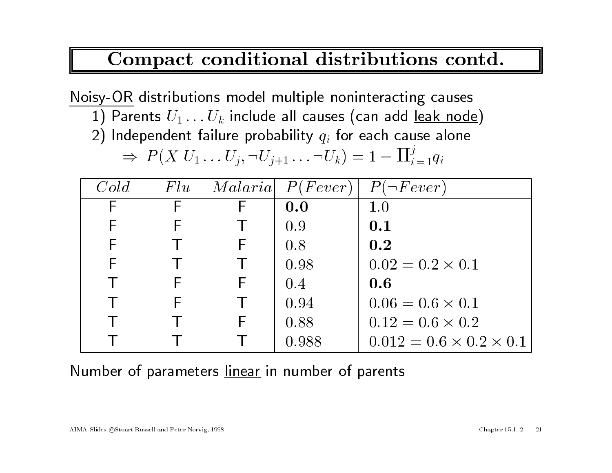#### Compact conditional distributions contd.

Noisy-OR distributions model multiple noninteracting causes

- $\begin{split} \frac{\text{sy-OF}}{1} \text{~distributions model multiple noninteracting causes} \ 1) \text{~Parents~} & U_1 \ldots U_k \text{ include all causes (can add leak node}) \ 2) \text{~Independent failure probability } & q_i \text{ for each cause alone} \ \Rightarrow \text{~} P(X|U_1 \ldots U_j, \neg U_{j+1} \ldots \neg U_k) = 1 \prod_{i=1}^j q_i \end{split}$
- 2) Independent failure probability  $q_i$  for each cause alone

$$
\Rightarrow \; P(X|U_1\ldots U_j,\neg U_{j+1}\ldots\neg U_k) = 1 - \Pi_{i=1}^j q_i
$$

| $\Rightarrow P(X U_1U_j,\neg U_{j+1} \neg U_k) = 1 - \prod_{i=1}^j q_i$ |     |  |                      |                                     |
|-------------------------------------------------------------------------|-----|--|----------------------|-------------------------------------|
| Cold                                                                    | Flu |  | $Malaria$ $P(Fever)$ | $P(\neg Fever)$                     |
| F                                                                       |     |  | 0.0                  | 1.0                                 |
|                                                                         |     |  | 0.9                  | 0.1                                 |
| F                                                                       |     |  | 0.8                  | 0.2                                 |
| F                                                                       |     |  | 0.98                 | $0.02 = 0.2 \times 0.1$             |
|                                                                         |     |  | $0.4\,$              | 0.6                                 |
|                                                                         |     |  | 0.94                 | $0.06 = 0.6 \times 0.1$             |
|                                                                         |     |  | 0.88                 | $0.12 = 0.6 \times 0.2$             |
|                                                                         |     |  | 0.988                | $0.012 = 0.6 \times 0.2 \times 0.1$ |

Number of parameters linear in number of parents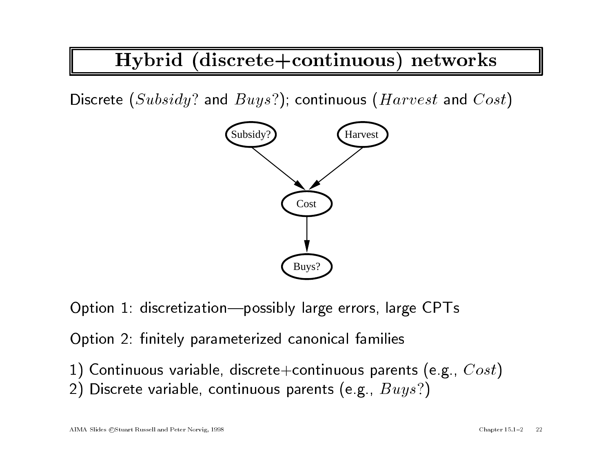# Hybrid (discrete+continuous) networks

Discrete  $(Subsidy$ ? and  $Buys$ ?); continuous ( $Harvest$  and  $Cost$ )



Option 1: discretization-possibly large errors, large CPTs

Option 2: finitely parameterized canonical families

1) Continuous variable, discrete+continuous parents (e.g.,  $Cost$ ) 2) Discrete variable, continuous parents (e.g.,  $Buys$ ?)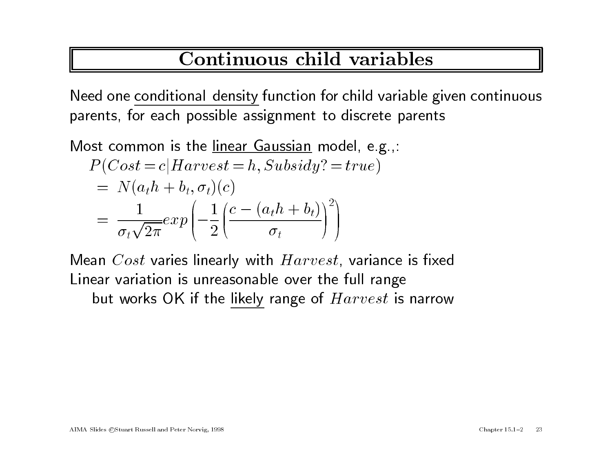### Continuous child variables

Need one conditional density function for child variable <sup>g</sup>iven continuous parents, for each possible assignment to discrete parents

Most common is the <u>linear Gaussian</u> model, e.g.,:<br> $P(Cost = c|Harvest = h, Subsidy? = true)$ 

st common is the linear Gaussian model, e.g  
\n
$$
P(Cost = c|Harvest = h, Subsidy? = true)
$$
\n
$$
= N(a_t h + b_t, \sigma_t)(c)
$$
\n
$$
= \frac{1}{\sigma_t \sqrt{2\pi}} exp\left(-\frac{1}{2}\left(\frac{c - (a_t h + b_t)}{\sigma_t}\right)^2\right)
$$

Mean  $Cost$  varies linearly with  $Harvest$ , variance is fixed Linear variation is unreasonable over the full range but works OK if the likely range of  $Harvest$  is narrow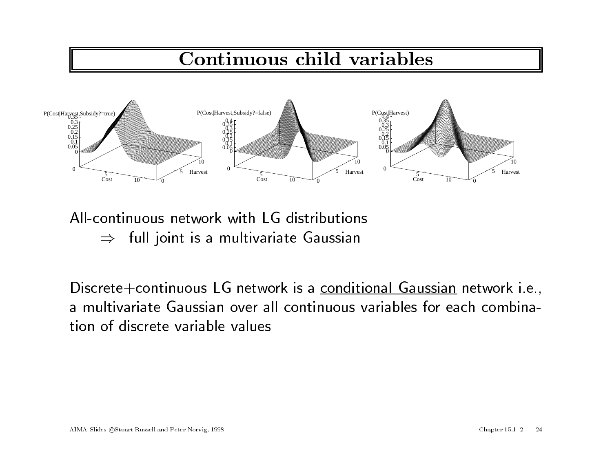# Continuous child variables



All-continuous network with LG distributions  $\Rightarrow$  full joint is a multivariate Gaussian

Discrete+continuous LG network is a conditional Gaussian network i.e., <sup>a</sup> multivariate Gaussian over all continuous variables for each combination of discrete variable values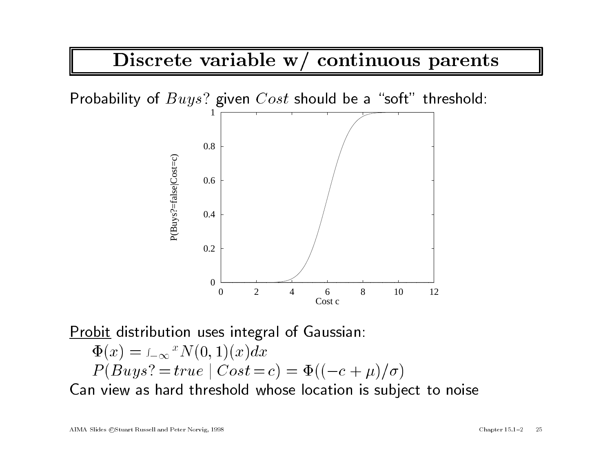Discrete variable w/ continuous parents

Probability of  $Buys$ ? given  $Cost$  should be a "soft" threshold:



Probit distribution uses integral of Gaussian:

**robit distribution uses integral of Gaussian:**

\n
$$
\Phi(x) = \int_{-\infty}^{x} N(0, 1)(x) dx
$$
\n
$$
P(Buys? = true \mid Cost = c) = \Phi((-c + \mu)/\sigma)
$$

 $P(Buys? = true \mid Cost = c) = \Phi((-c + \mu)/\sigma)$ <br>Can view as hard threshold whose location is subject to noise